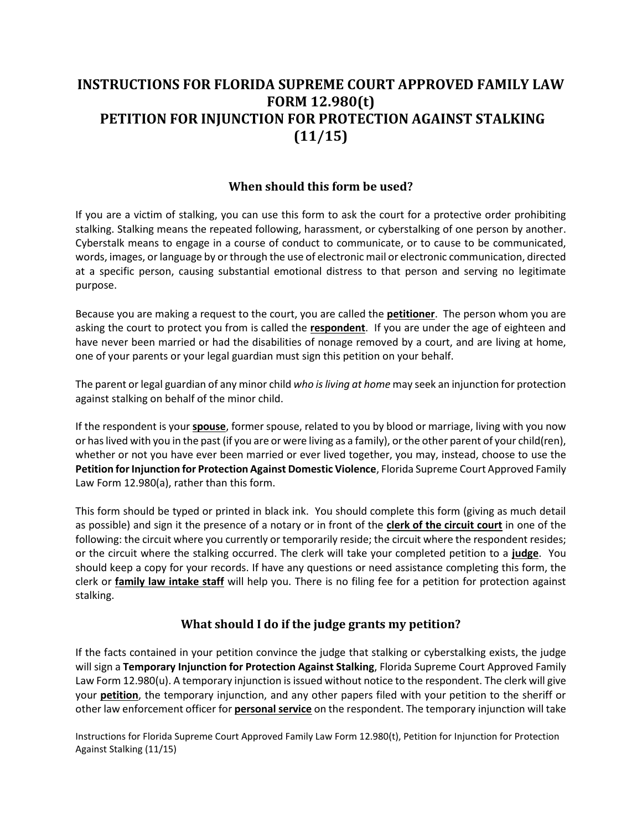# **INSTRUCTIONS FOR FLORIDA SUPREME COURT APPROVED FAMILY LAW FORM 12.980(t) PETITION FOR INJUNCTION FOR PROTECTION AGAINST STALKING (11/15)**

## **When should this form be used?**

If you are a victim of stalking, you can use this form to ask the court for a protective order prohibiting stalking. Stalking means the repeated following, harassment, or cyberstalking of one person by another. Cyberstalk means to engage in a course of conduct to communicate, or to cause to be communicated, words, images, or language by or through the use of electronic mail or electronic communication, directed at a specific person, causing substantial emotional distress to that person and serving no legitimate purpose.

Because you are making a request to the court, you are called the **petitioner**. The person whom you are asking the court to protect you from is called the **respondent**. If you are under the age of eighteen and have never been married or had the disabilities of nonage removed by a court, and are living at home, one of your parents or your legal guardian must sign this petition on your behalf.

The parent or legal guardian of any minor child *who is living at home* may seek an injunction for protection against stalking on behalf of the minor child.

If the respondent is your **spouse**, former spouse, related to you by blood or marriage, living with you now or has lived with you in the past (if you are or were living as a family), or the other parent of your child(ren), whether or not you have ever been married or ever lived together, you may, instead, choose to use the **Petition for Injunction for Protection Against Domestic Violence**, Florida Supreme Court Approved Family Law Form 12.980(a), rather than this form.

This form should be typed or printed in black ink. You should complete this form (giving as much detail as possible) and sign it the presence of a notary or in front of the **clerk of the circuit court** in one of the following: the circuit where you currently or temporarily reside; the circuit where the respondent resides; or the circuit where the stalking occurred. The clerk will take your completed petition to a **judge**. You should keep a copy for your records. If have any questions or need assistance completing this form, the clerk or **family law intake staff** will help you. There is no filing fee for a petition for protection against stalking.

## **What should I do if the judge grants my petition?**

If the facts contained in your petition convince the judge that stalking or cyberstalking exists, the judge will sign a **Temporary Injunction for Protection Against Stalking**, Florida Supreme Court Approved Family Law Form 12.980(u). A temporary injunction is issued without notice to the respondent. The clerk will give your **petition**, the temporary injunction, and any other papers filed with your petition to the sheriff or other law enforcement officer for **personal service** on the respondent. The temporary injunction will take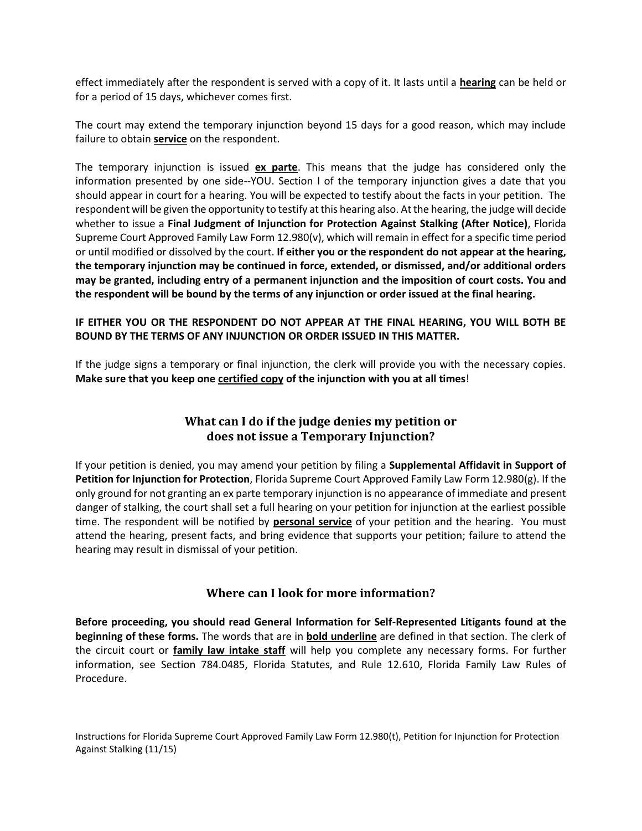effect immediately after the respondent is served with a copy of it. It lasts until a **hearing** can be held or for a period of 15 days, whichever comes first.

The court may extend the temporary injunction beyond 15 days for a good reason, which may include failure to obtain **service** on the respondent.

The temporary injunction is issued **ex parte**. This means that the judge has considered only the information presented by one side--YOU. Section I of the temporary injunction gives a date that you should appear in court for a hearing. You will be expected to testify about the facts in your petition. The respondent will be given the opportunity to testify at this hearing also. At the hearing, the judge will decide whether to issue a **Final Judgment of Injunction for Protection Against Stalking (After Notice)**, Florida Supreme Court Approved Family Law Form 12.980(v), which will remain in effect for a specific time period or until modified or dissolved by the court. **If either you or the respondent do not appear at the hearing, the temporary injunction may be continued in force, extended, or dismissed, and/or additional orders may be granted, including entry of a permanent injunction and the imposition of court costs. You and the respondent will be bound by the terms of any injunction or order issued at the final hearing.**

### **IF EITHER YOU OR THE RESPONDENT DO NOT APPEAR AT THE FINAL HEARING, YOU WILL BOTH BE BOUND BY THE TERMS OF ANY INJUNCTION OR ORDER ISSUED IN THIS MATTER.**

If the judge signs a temporary or final injunction, the clerk will provide you with the necessary copies. **Make sure that you keep one certified copy of the injunction with you at all times**!

# **What can I do if the judge denies my petition or does not issue a Temporary Injunction?**

If your petition is denied, you may amend your petition by filing a **Supplemental Affidavit in Support of Petition for Injunction for Protection**, Florida Supreme Court Approved Family Law Form 12.980(g). If the only ground for not granting an ex parte temporary injunction is no appearance of immediate and present danger of stalking, the court shall set a full hearing on your petition for injunction at the earliest possible time. The respondent will be notified by **personal service** of your petition and the hearing. You must attend the hearing, present facts, and bring evidence that supports your petition; failure to attend the hearing may result in dismissal of your petition.

## **Where can I look for more information?**

**Before proceeding, you should read General Information for Self-Represented Litigants found at the beginning of these forms.** The words that are in **bold underline** are defined in that section. The clerk of the circuit court or **family law intake staff** will help you complete any necessary forms. For further information, see Section 784.0485, Florida Statutes, and Rule 12.610, Florida Family Law Rules of Procedure.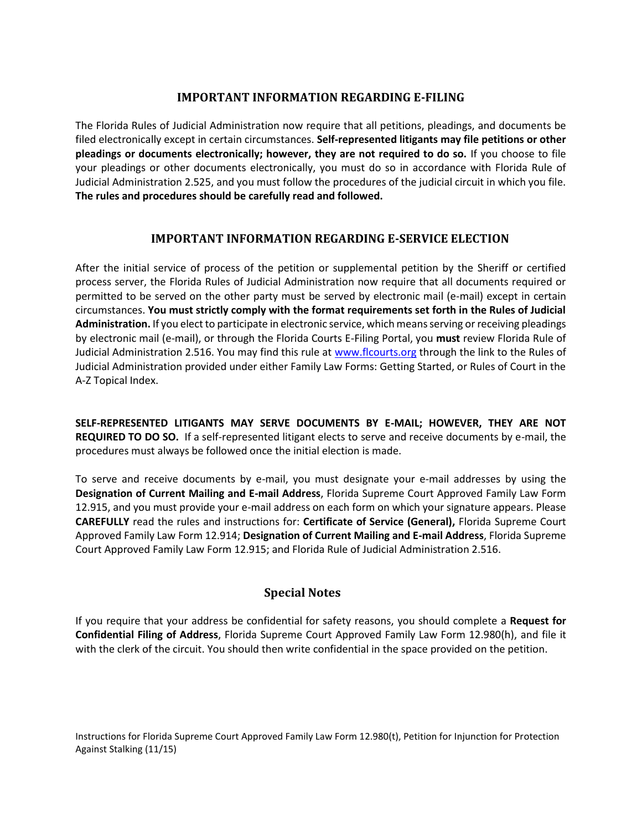## **IMPORTANT INFORMATION REGARDING E-FILING**

The Florida Rules of Judicial Administration now require that all petitions, pleadings, and documents be filed electronically except in certain circumstances. **Self-represented litigants may file petitions or other pleadings or documents electronically; however, they are not required to do so.** If you choose to file your pleadings or other documents electronically, you must do so in accordance with Florida Rule of Judicial Administration 2.525, and you must follow the procedures of the judicial circuit in which you file. **The rules and procedures should be carefully read and followed.**

# **IMPORTANT INFORMATION REGARDING E-SERVICE ELECTION**

After the initial service of process of the petition or supplemental petition by the Sheriff or certified process server, the Florida Rules of Judicial Administration now require that all documents required or permitted to be served on the other party must be served by electronic mail (e-mail) except in certain circumstances. **You must strictly comply with the format requirements set forth in the Rules of Judicial Administration.** If you elect to participate in electronic service, which means serving or receiving pleadings by electronic mail (e-mail), or through the Florida Courts E-Filing Portal, you **must** review Florida Rule of Judicial Administration 2.516. You may find this rule at [www.flcourts.org](http://www.flcourts.org/) through the link to the Rules of Judicial Administration provided under either Family Law Forms: Getting Started, or Rules of Court in the A-Z Topical Index.

**SELF-REPRESENTED LITIGANTS MAY SERVE DOCUMENTS BY E-MAIL; HOWEVER, THEY ARE NOT REQUIRED TO DO SO.** If a self-represented litigant elects to serve and receive documents by e-mail, the procedures must always be followed once the initial election is made.

To serve and receive documents by e-mail, you must designate your e-mail addresses by using the **Designation of Current Mailing and E-mail Address**, Florida Supreme Court Approved Family Law Form 12.915, and you must provide your e-mail address on each form on which your signature appears. Please **CAREFULLY** read the rules and instructions for: **Certificate of Service (General),** Florida Supreme Court Approved Family Law Form 12.914; **Designation of Current Mailing and E-mail Address**, Florida Supreme Court Approved Family Law Form 12.915; and Florida Rule of Judicial Administration 2.516.

## **Special Notes**

If you require that your address be confidential for safety reasons, you should complete a **Request for Confidential Filing of Address**, Florida Supreme Court Approved Family Law Form 12.980(h), and file it with the clerk of the circuit. You should then write confidential in the space provided on the petition.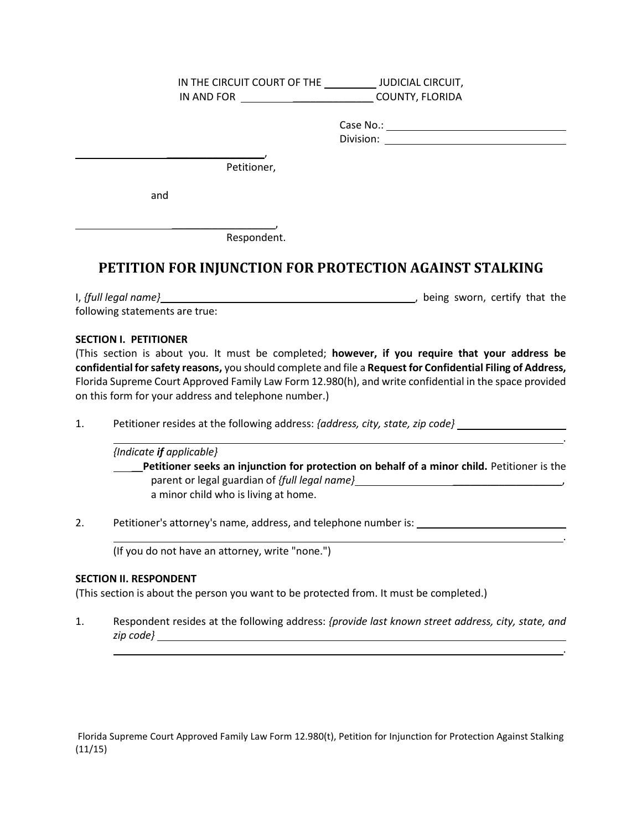IN THE CIRCUIT COURT OF THE \_\_\_\_\_\_\_\_\_\_ JUDICIAL CIRCUIT, IN AND FOR \_\_\_\_\_\_\_\_\_\_\_\_\_\_ COUNTY, FLORIDA

> Case No.: Division:

> > .

.

.

Petitioner,

and

\_\_\_\_\_\_\_\_\_\_\_\_\_\_\_\_\_,

\_\_\_\_\_\_\_\_\_\_\_\_\_\_\_\_\_\_,

Respondent.

# **PETITION FOR INJUNCTION FOR PROTECTION AGAINST STALKING**

I, *{full legal name}* 1, *{full legal name}* , being sworn, certify that the following statements are true:

### **SECTION I. PETITIONER**

(This section is about you. It must be completed; **however, if you require that your address be confidential for safety reasons,** you should complete and file a **Request for Confidential Filing of Address,**  Florida Supreme Court Approved Family Law Form 12.980(h), and write confidential in the space provided on this form for your address and telephone number.)

1. Petitioner resides at the following address: *{address, city, state, zip code}*

*{Indicate if applicable}*

- \_\_**Petitioner seeks an injunction for protection on behalf of a minor child.** Petitioner is the parent or legal guardian of *{full legal name}* \_\_\_\_\_\_\_\_\_\_\_\_\_\_\_\_\_\_\_\_\_\_\_\_\_\_\_\_\_\_\_\_\_, a minor child who is living at home.
- 2. Petitioner's attorney's name, address, and telephone number is:

(If you do not have an attorney, write "none.")

### **SECTION II. RESPONDENT**

(This section is about the person you want to be protected from. It must be completed.)

1. Respondent resides at the following address: *{provide last known street address, city, state, and zip code}*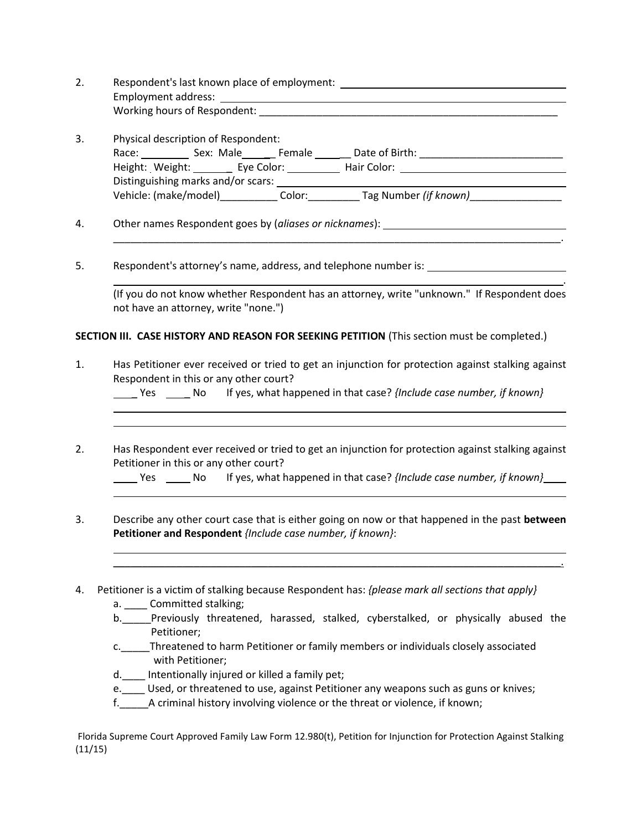| z. | Respondent's last known place of employment: |
|----|----------------------------------------------|
|    | Employment address:                          |
|    | Working hours of Respondent:                 |

| 3. | Physical description of Respondent: |           |            |                       |  |
|----|-------------------------------------|-----------|------------|-----------------------|--|
|    | Race:                               | Sex: Male | Female     | Date of Birth:        |  |
|    | Height: Weight:                     |           | Eye Color: | Hair Color:           |  |
|    | Distinguishing marks and/or scars:  |           |            |                       |  |
|    | Vehicle: (make/model)               |           | Color:     | Tag Number (if known) |  |

- 4. Other names Respondent goes by (*aliases or nicknames*):
- 5. Respondent's attorney's name, address, and telephone number is:

(If you do not know whether Respondent has an attorney, write "unknown." If Respondent does not have an attorney, write "none.")

.

\_\_\_\_\_\_\_\_\_\_\_\_\_\_\_\_\_\_\_\_\_\_\_\_\_\_\_\_\_\_\_\_\_\_\_\_\_\_\_\_\_\_\_\_\_\_\_\_\_\_\_\_\_\_\_\_\_\_\_\_\_\_\_\_\_\_\_\_\_\_\_\_\_\_\_\_\_\_.

#### **SECTION III. CASE HISTORY AND REASON FOR SEEKING PETITION** (This section must be completed.)

| Has Petitioner ever received or tried to get an injunction for protection against stalking against<br>Respondent in this or any other court? |       |                                                                     |  |  |  |
|----------------------------------------------------------------------------------------------------------------------------------------------|-------|---------------------------------------------------------------------|--|--|--|
| Yes                                                                                                                                          | No No | If yes, what happened in that case? {Include case number, if known} |  |  |  |
|                                                                                                                                              |       |                                                                     |  |  |  |

2. Has Respondent ever received or tried to get an injunction for protection against stalking against Petitioner in this or any other court?

- 3. Describe any other court case that is either going on now or that happened in the past **between Petitioner and Respondent** *{Include case number, if known}*:
- 4. Petitioner is a victim of stalking because Respondent has: *{please mark all sections that apply}*
	- a. \_\_\_\_\_ Committed stalking;
	- b.\_\_\_\_\_Previously threatened, harassed, stalked, cyberstalked, or physically abused the Petitioner;

\_\_\_\_\_\_\_\_\_\_\_\_\_\_\_\_\_\_\_\_\_\_\_\_\_\_\_\_\_\_\_\_\_\_\_\_\_\_\_\_\_\_\_\_\_\_\_\_\_\_\_\_\_\_\_\_\_\_\_\_\_\_\_\_\_\_\_\_\_\_\_\_\_\_\_\_\_\_.

- c.\_\_\_\_\_Threatened to harm Petitioner or family members or individuals closely associated with Petitioner;
- d.\_\_\_\_ Intentionally injured or killed a family pet;
- e. Used, or threatened to use, against Petitioner any weapons such as guns or knives;
- f.\_\_\_\_\_A criminal history involving violence or the threat or violence, if known;

\_ Yes \_ No If yes, what happened in that case? *{Include case number, if known}*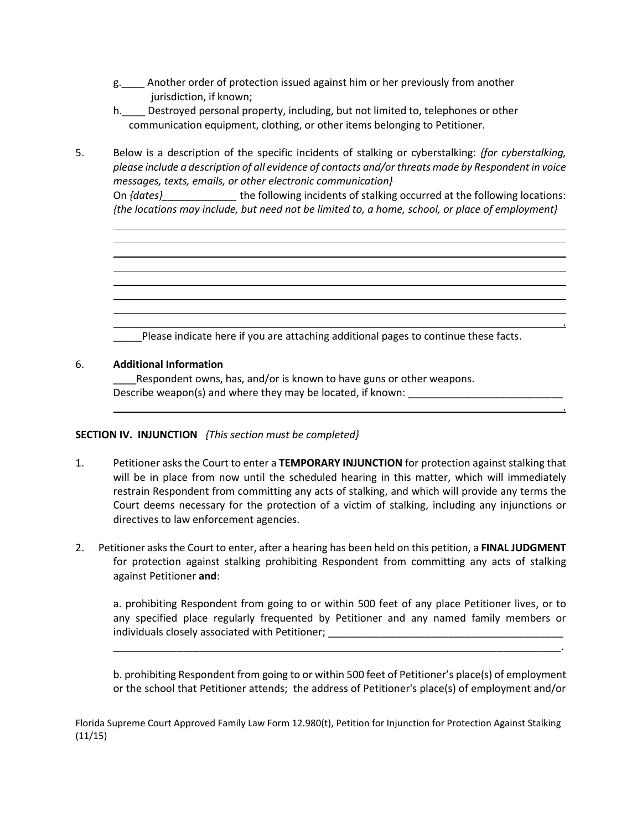- g.\_\_\_\_ Another order of protection issued against him or her previously from another jurisdiction, if known;
- h.\_\_\_\_ Destroyed personal property, including, but not limited to, telephones or other communication equipment, clothing, or other items belonging to Petitioner.
- 5. Below is a description of the specific incidents of stalking or cyberstalking: *{for cyberstalking, please include a description of all evidence of contacts and/or threats made by Respondent in voice messages, texts, emails, or other electronic communication}*

On *{dates}\_\_\_\_\_\_\_\_\_\_\_\_\_* the following incidents of stalking occurred at the following locations: *{the locations may include, but need not be limited to, a home, school, or place of employment}*

Please indicate here if you are attaching additional pages to continue these facts.

.

.

### 6. **Additional Information**

Respondent owns, has, and/or is known to have guns or other weapons. Describe weapon(s) and where they may be located, if known: \_\_\_\_\_\_\_\_\_\_\_\_\_\_\_\_\_\_\_\_

### **SECTION IV. INJUNCTION** *{This section must be completed}*

- 1. Petitioner asks the Court to enter a **TEMPORARY INJUNCTION** for protection against stalking that will be in place from now until the scheduled hearing in this matter, which will immediately restrain Respondent from committing any acts of stalking, and which will provide any terms the Court deems necessary for the protection of a victim of stalking, including any injunctions or directives to law enforcement agencies.
- 2. Petitioner asks the Court to enter, after a hearing has been held on this petition, a **FINAL JUDGMENT** for protection against stalking prohibiting Respondent from committing any acts of stalking against Petitioner **and**:

a. prohibiting Respondent from going to or within 500 feet of any place Petitioner lives, or to any specified place regularly frequented by Petitioner and any named family members or individuals closely associated with Petitioner; \_\_\_\_\_\_\_\_\_\_\_\_\_\_\_\_\_\_\_\_\_\_\_\_\_\_\_\_\_\_\_\_

\_\_\_\_\_\_\_\_\_\_\_\_\_\_\_\_\_\_\_\_\_\_\_\_\_\_\_\_\_\_\_\_\_\_\_\_\_\_\_\_\_\_\_\_\_\_\_\_\_\_\_\_\_\_\_\_\_\_\_\_\_\_\_\_\_\_\_\_\_\_\_\_\_\_\_\_\_\_.

b. prohibiting Respondent from going to or within 500 feet of Petitioner's place(s) of employment or the school that Petitioner attends; the address of Petitioner's place(s) of employment and/or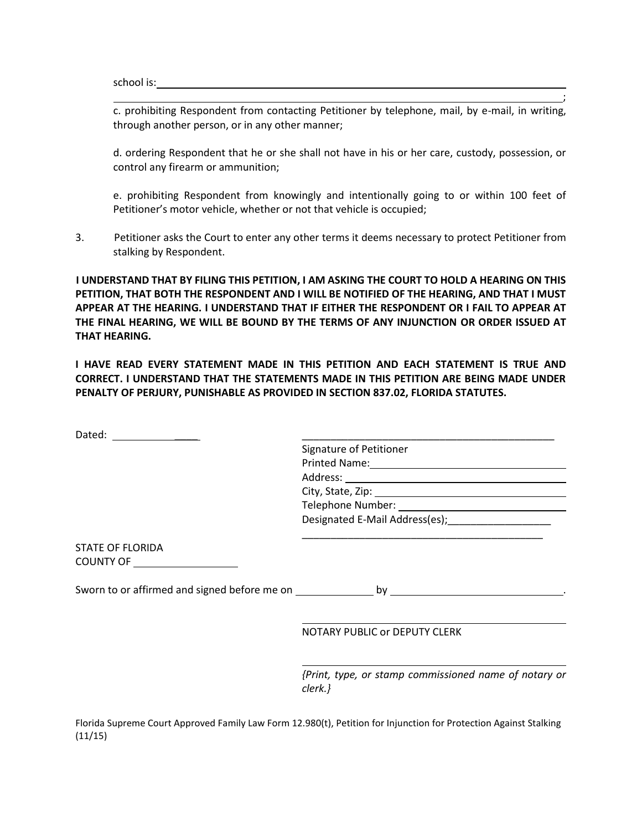school is:

c. prohibiting Respondent from contacting Petitioner by telephone, mail, by e-mail, in writing, through another person, or in any other manner;

;

d. ordering Respondent that he or she shall not have in his or her care, custody, possession, or control any firearm or ammunition;

e. prohibiting Respondent from knowingly and intentionally going to or within 100 feet of Petitioner's motor vehicle, whether or not that vehicle is occupied;

3. Petitioner asks the Court to enter any other terms it deems necessary to protect Petitioner from stalking by Respondent.

**I UNDERSTAND THAT BY FILING THIS PETITION, I AM ASKING THE COURT TO HOLD A HEARING ON THIS PETITION, THAT BOTH THE RESPONDENT AND I WILL BE NOTIFIED OF THE HEARING, AND THAT I MUST APPEAR AT THE HEARING. I UNDERSTAND THAT IF EITHER THE RESPONDENT OR I FAIL TO APPEAR AT THE FINAL HEARING, WE WILL BE BOUND BY THE TERMS OF ANY INJUNCTION OR ORDER ISSUED AT THAT HEARING.**

**I HAVE READ EVERY STATEMENT MADE IN THIS PETITION AND EACH STATEMENT IS TRUE AND CORRECT. I UNDERSTAND THAT THE STATEMENTS MADE IN THIS PETITION ARE BEING MADE UNDER PENALTY OF PERJURY, PUNISHABLE AS PROVIDED IN SECTION 837.02, FLORIDA STATUTES.**

| Dated: <u>_______________</u>                              |                                                                                                                 |
|------------------------------------------------------------|-----------------------------------------------------------------------------------------------------------------|
|                                                            | Signature of Petitioner                                                                                         |
|                                                            |                                                                                                                 |
|                                                            |                                                                                                                 |
|                                                            |                                                                                                                 |
|                                                            |                                                                                                                 |
|                                                            | Designated E-Mail Address(es); ___________________                                                              |
| <b>STATE OF FLORIDA</b><br>COUNTY OF _____________________ |                                                                                                                 |
|                                                            | Sworn to or affirmed and signed before me on by by the set of the set of the set of the set of the set of the s |
|                                                            | <b>NOTARY PUBLIC or DEPUTY CLERK</b>                                                                            |
|                                                            |                                                                                                                 |
|                                                            | {Print, type, or stamp commissioned name of notary or<br>$clerk.$ }                                             |
|                                                            |                                                                                                                 |